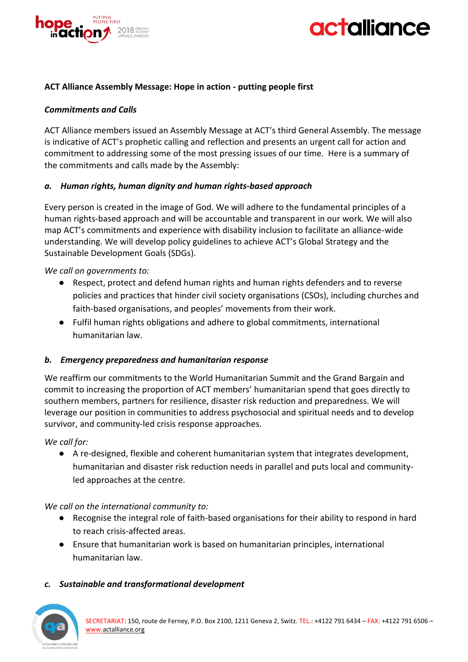



### **ACT Alliance Assembly Message: Hope in action - putting people first**

### *Commitments and Calls*

ACT Alliance members issued an Assembly Message at ACT's third General Assembly. The message is indicative of ACT's prophetic calling and reflection and presents an urgent call for action and commitment to addressing some of the most pressing issues of our time. Here is a summary of the commitments and calls made by the Assembly:

### *a. Human rights, human dignity and human rights-based approach*

Every person is created in the image of God. We will adhere to the fundamental principles of a human rights-based approach and will be accountable and transparent in our work. We will also map ACT's commitments and experience with disability inclusion to facilitate an alliance-wide understanding. We will develop policy guidelines to achieve ACT's Global Strategy and the Sustainable Development Goals (SDGs).

*We call on governments to:*

- Respect, protect and defend human rights and human rights defenders and to reverse policies and practices that hinder civil society organisations (CSOs), including churches and faith-based organisations, and peoples' movements from their work.
- Fulfil human rights obligations and adhere to global commitments, international humanitarian law.

### *b. Emergency preparedness and humanitarian response*

We reaffirm our commitments to the World Humanitarian Summit and the Grand Bargain and commit to increasing the proportion of ACT members' humanitarian spend that goes directly to southern members, partners for resilience, disaster risk reduction and preparedness. We will leverage our position in communities to address psychosocial and spiritual needs and to develop survivor, and community-led crisis response approaches.

*We call for:*

● A re-designed, flexible and coherent humanitarian system that integrates development, humanitarian and disaster risk reduction needs in parallel and puts local and communityled approaches at the centre.

*We call on the international community to:*

- Recognise the integral role of faith-based organisations for their ability to respond in hard to reach crisis-affected areas.
- Ensure that humanitarian work is based on humanitarian principles, international humanitarian law.

### *c. Sustainable and transformational development*

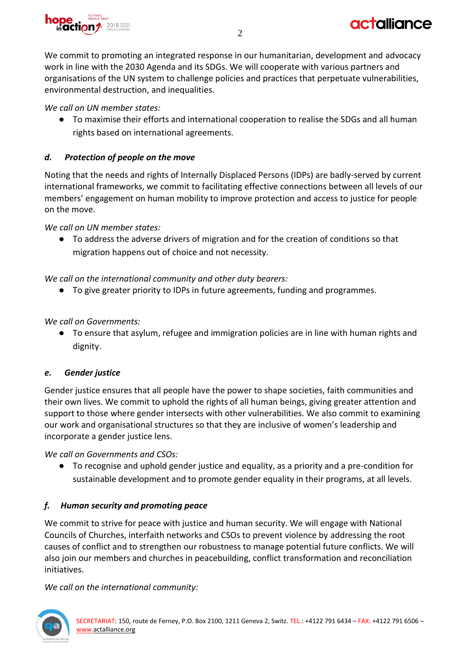

We commit to promoting an integrated response in our humanitarian, development and advocacy work in line with the 2030 Agenda and its SDGs. We will cooperate with various partners and organisations of the UN system to challenge policies and practices that perpetuate vulnerabilities, environmental destruction, and inequalities.

## *We call on UN member states:*

● To maximise their efforts and international cooperation to realise the SDGs and all human rights based on international agreements.

# *d. Protection of people on the move*

Noting that the needs and rights of Internally Displaced Persons (IDPs) are badly-served by current international frameworks, we commit to facilitating effective connections between all levels of our members' engagement on human mobility to improve protection and access to justice for people on the move.

*We call on UN member states:*

● To address the adverse drivers of migration and for the creation of conditions so that migration happens out of choice and not necessity.

*We call on the international community and other duty bearers:*

● To give greater priority to IDPs in future agreements, funding and programmes.

*We call on Governments:*

● To ensure that asylum, refugee and immigration policies are in line with human rights and dignity.

## *e. Gender justice*

Gender justice ensures that all people have the power to shape societies, faith communities and their own lives. We commit to uphold the rights of all human beings, giving greater attention and support to those where gender intersects with other vulnerabilities. We also commit to examining our work and organisational structures so that they are inclusive of women's leadership and incorporate a gender justice lens.

*We call on Governments and CSOs:*

● To recognise and uphold gender justice and equality, as a priority and a pre-condition for sustainable development and to promote gender equality in their programs, at all levels.

## *f. Human security and promoting peace*

We commit to strive for peace with justice and human security. We will engage with National Councils of Churches, interfaith networks and CSOs to prevent violence by addressing the root causes of conflict and to strengthen our robustness to manage potential future conflicts. We will also join our members and churches in peacebuilding, conflict transformation and reconciliation initiatives.

*We call on the international community:*